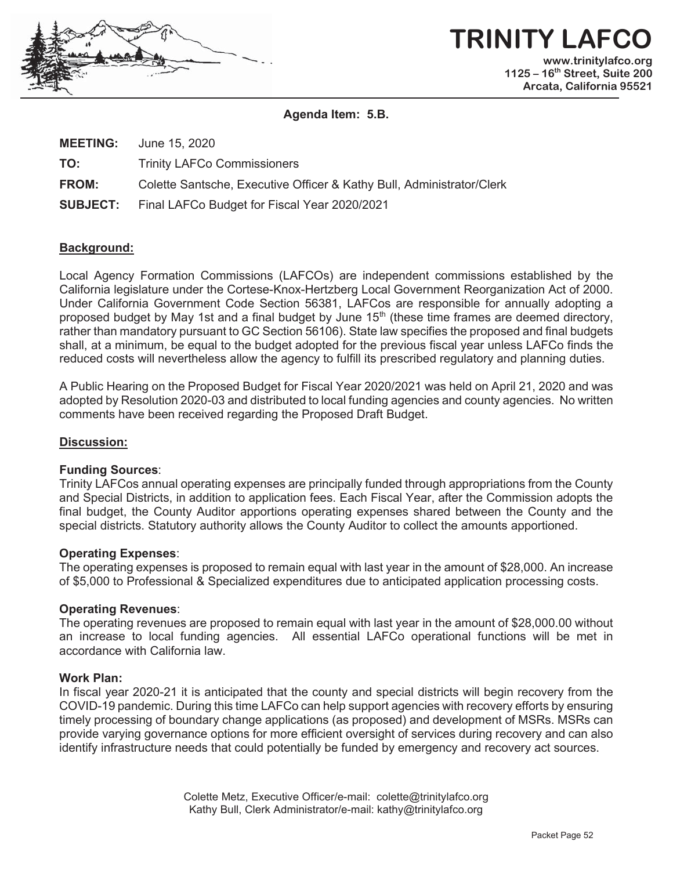

# **TRINITY LAF www.trinitylafco.org 1125 – 16th Street, Suite 200 Arcata, California 95521**

**Agenda Item: 5.B.** 

| <b>MEETING:</b> | June 15, 2020 |  |  |
|-----------------|---------------|--|--|
|                 |               |  |  |

**TO:**  Trinity LAFCo Commissioners

**FROM:**  Colette Santsche, Executive Officer & Kathy Bull, Administrator/Clerk

**SUBJECT:** Final LAFCo Budget for Fiscal Year 2020/2021

## **Background:**

Local Agency Formation Commissions (LAFCOs) are independent commissions established by the California legislature under the Cortese-Knox-Hertzberg Local Government Reorganization Act of 2000. Under California Government Code Section 56381, LAFCos are responsible for annually adopting a proposed budget by May 1st and a final budget by June 15<sup>th</sup> (these time frames are deemed directory, rather than mandatory pursuant to GC Section 56106). State law specifies the proposed and final budgets shall, at a minimum, be equal to the budget adopted for the previous fiscal year unless LAFCo finds the reduced costs will nevertheless allow the agency to fulfill its prescribed regulatory and planning duties.

A Public Hearing on the Proposed Budget for Fiscal Year 2020/2021 was held on April 21, 2020 and was adopted by Resolution 2020-03 and distributed to local funding agencies and county agencies. No written comments have been received regarding the Proposed Draft Budget.

## **Discussion:**

## **Funding Sources**:

Trinity LAFCos annual operating expenses are principally funded through appropriations from the County and Special Districts, in addition to application fees. Each Fiscal Year, after the Commission adopts the final budget, the County Auditor apportions operating expenses shared between the County and the special districts. Statutory authority allows the County Auditor to collect the amounts apportioned.

## **Operating Expenses**:

The operating expenses is proposed to remain equal with last year in the amount of \$28,000. An increase of \$5,000 to Professional & Specialized expenditures due to anticipated application processing costs.

#### **Operating Revenues**:

The operating revenues are proposed to remain equal with last year in the amount of \$28,000.00 without an increase to local funding agencies. All essential LAFCo operational functions will be met in accordance with California law.

### **Work Plan:**

In fiscal year 2020-21 it is anticipated that the county and special districts will begin recovery from the COVID-19 pandemic. During this time LAFCo can help support agencies with recovery efforts by ensuring timely processing of boundary change applications (as proposed) and development of MSRs. MSRs can provide varying governance options for more efficient oversight of services during recovery and can also identify infrastructure needs that could potentially be funded by emergency and recovery act sources.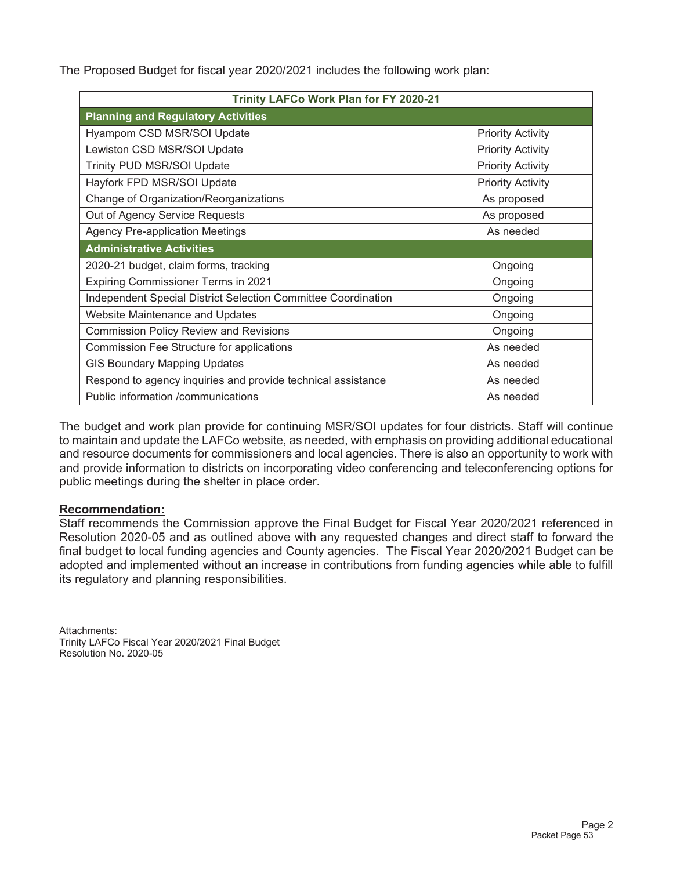The Proposed Budget for fiscal year 2020/2021 includes the following work plan:

| Trinity LAFCo Work Plan for FY 2020-21                        |                          |  |  |  |  |  |
|---------------------------------------------------------------|--------------------------|--|--|--|--|--|
| <b>Planning and Regulatory Activities</b>                     |                          |  |  |  |  |  |
| Hyampom CSD MSR/SOI Update                                    | <b>Priority Activity</b> |  |  |  |  |  |
| Lewiston CSD MSR/SOI Update                                   | <b>Priority Activity</b> |  |  |  |  |  |
| Trinity PUD MSR/SOI Update                                    | <b>Priority Activity</b> |  |  |  |  |  |
| Hayfork FPD MSR/SOI Update                                    | <b>Priority Activity</b> |  |  |  |  |  |
| Change of Organization/Reorganizations                        | As proposed              |  |  |  |  |  |
| Out of Agency Service Requests                                | As proposed              |  |  |  |  |  |
| <b>Agency Pre-application Meetings</b>                        | As needed                |  |  |  |  |  |
| <b>Administrative Activities</b>                              |                          |  |  |  |  |  |
| 2020-21 budget, claim forms, tracking                         | Ongoing                  |  |  |  |  |  |
| <b>Expiring Commissioner Terms in 2021</b>                    | Ongoing                  |  |  |  |  |  |
| Independent Special District Selection Committee Coordination | Ongoing                  |  |  |  |  |  |
| <b>Website Maintenance and Updates</b>                        | Ongoing                  |  |  |  |  |  |
| <b>Commission Policy Review and Revisions</b>                 | Ongoing                  |  |  |  |  |  |
| Commission Fee Structure for applications                     | As needed                |  |  |  |  |  |
| <b>GIS Boundary Mapping Updates</b>                           | As needed                |  |  |  |  |  |
| Respond to agency inquiries and provide technical assistance  | As needed                |  |  |  |  |  |
| Public information /communications                            | As needed                |  |  |  |  |  |

The budget and work plan provide for continuing MSR/SOI updates for four districts. Staff will continue to maintain and update the LAFCo website, as needed, with emphasis on providing additional educational and resource documents for commissioners and local agencies. There is also an opportunity to work with and provide information to districts on incorporating video conferencing and teleconferencing options for public meetings during the shelter in place order.

## **Recommendation:**

Staff recommends the Commission approve the Final Budget for Fiscal Year 2020/2021 referenced in Resolution 2020-05 and as outlined above with any requested changes and direct staff to forward the final budget to local funding agencies and County agencies. The Fiscal Year 2020/2021 Budget can be adopted and implemented without an increase in contributions from funding agencies while able to fulfill its regulatory and planning responsibilities.

Attachments: Trinity LAFCo Fiscal Year 2020/2021 Final Budget Resolution No. 2020-05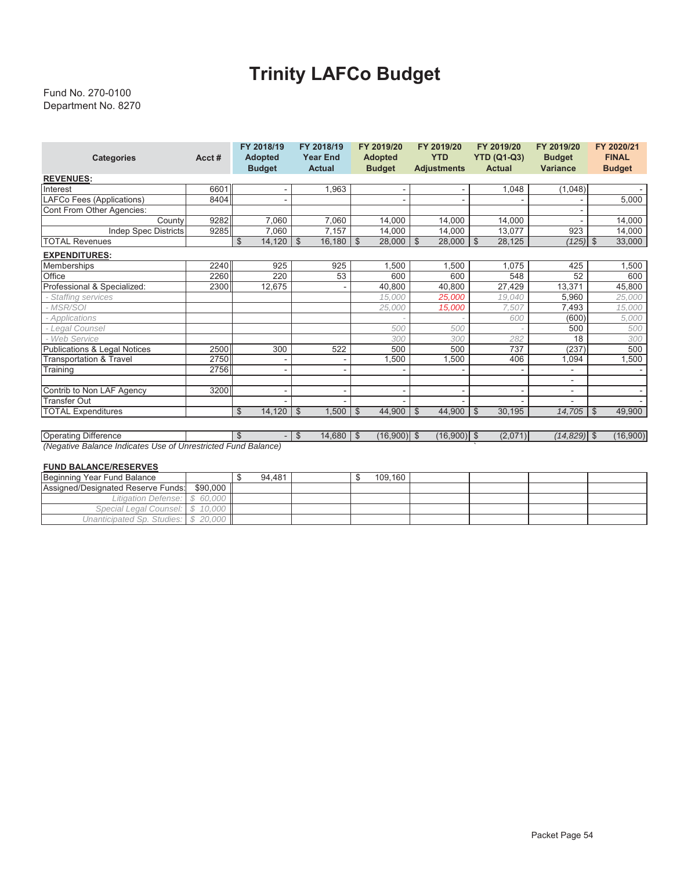# **Trinity LAFCo Budget**

#### Department No. 8270 Fund No. 270-0100

| <b>Categories</b>                       | Acct# | FY 2018/19<br><b>Adopted</b><br><b>Budget</b> | FY 2018/19<br><b>Year End</b><br><b>Actual</b> | FY 2019/20<br><b>Adopted</b><br><b>Budget</b> | FY 2019/20<br><b>YTD</b><br><b>Adjustments</b> | FY 2019/20<br><b>YTD (Q1-Q3)</b><br><b>Actual</b> | FY 2019/20<br><b>Budget</b><br><b>Variance</b> | FY 2020/21<br><b>FINAL</b><br><b>Budget</b> |
|-----------------------------------------|-------|-----------------------------------------------|------------------------------------------------|-----------------------------------------------|------------------------------------------------|---------------------------------------------------|------------------------------------------------|---------------------------------------------|
| <b>REVENUES:</b>                        |       |                                               |                                                |                                               |                                                |                                                   |                                                |                                             |
| Interest                                | 6601  |                                               | 1,963                                          |                                               |                                                | 1,048                                             | (1,048)                                        |                                             |
| LAFCo Fees (Applications)               | 8404  |                                               |                                                |                                               |                                                |                                                   |                                                | 5,000                                       |
| Cont From Other Agencies:               |       |                                               |                                                |                                               |                                                |                                                   | ٠                                              |                                             |
| County                                  | 9282  | 7,060                                         | 7,060                                          | 14,000                                        | 14,000                                         | 14,000                                            |                                                | 14,000                                      |
| <b>Indep Spec Districts</b>             | 9285  | 7,060                                         | 7,157                                          | 14,000                                        | 14,000                                         | 13,077                                            | 923                                            | 14,000                                      |
| <b>TOTAL Revenues</b>                   |       | $\mathfrak{S}$<br>14,120                      | $\frac{1}{3}$<br>16,180                        | 28,000<br>\$                                  | $\mathfrak{S}$<br>28,000                       | l \$<br>28,125                                    | $(125)$ \$                                     | 33,000                                      |
| <b>EXPENDITURES:</b>                    |       |                                               |                                                |                                               |                                                |                                                   |                                                |                                             |
| Memberships                             | 2240  | 925                                           | 925                                            | 1,500                                         | 1,500                                          | 1,075                                             | 425                                            | 1,500                                       |
| Office                                  | 2260  | 220                                           | 53                                             | 600                                           | 600                                            | 548                                               | 52                                             | 600                                         |
| Professional & Specialized:             | 2300  | 12,675                                        |                                                | 40,800                                        | 40,800                                         | 27,429                                            | 13,371                                         | 45,800                                      |
| - Staffing services                     |       |                                               |                                                | 15.000                                        | 25.000                                         | 19.040                                            | 5,960                                          | 25,000                                      |
| - MSR/SOI                               |       |                                               |                                                | 25.000                                        | 15.000                                         | 7,507                                             | 7,493                                          | 15,000                                      |
| - Applications                          |       |                                               |                                                |                                               |                                                | 600                                               | (600)                                          | 5,000                                       |
| - Legal Counsel                         |       |                                               |                                                | 500                                           | 500                                            |                                                   | 500                                            | 500                                         |
| - Web Service                           |       |                                               |                                                | 300                                           | 300                                            | 282                                               | 18                                             | 300                                         |
| <b>Publications &amp; Legal Notices</b> | 2500  | 300                                           | 522                                            | 500                                           | 500                                            | 737                                               | (237)                                          | 500                                         |
| <b>Transportation &amp; Travel</b>      | 2750  |                                               | ٠                                              | .500                                          | 1,500                                          | 406                                               | 1,094                                          | 1,500                                       |
| Training                                | 2756  | $\blacksquare$                                | ٠                                              |                                               |                                                |                                                   |                                                |                                             |
|                                         |       |                                               |                                                |                                               |                                                |                                                   |                                                |                                             |
| Contrib to Non LAF Agency               | 3200  | $\overline{\phantom{a}}$                      | $\sim$                                         | $\overline{\phantom{0}}$                      |                                                | ۰                                                 | ٠                                              |                                             |
| <b>Transfer Out</b>                     |       |                                               |                                                |                                               |                                                |                                                   |                                                |                                             |
| <b>TOTAL Expenditures</b>               |       | 14,120<br>\$                                  | 1,500<br>$\mathfrak{S}$                        | 44,900<br>$\mathfrak{S}$                      | 44,900<br>$\mathfrak{S}$                       | $\mathfrak{S}$<br>30,195                          | 14,705                                         | 49,900<br>$\mathfrak{S}$                    |
|                                         |       |                                               |                                                |                                               |                                                |                                                   |                                                |                                             |

Operating Difference - \$ 14,680 \$ (16,900) \$ (16,900) \$ (2,071) \$ *(14,829)* \$ (16,900) *(Negative Balance Indicates Use of Unrestricted Fund Balance)* `

#### **FUND BALANCE/RESERVES**

| Beginning Year Fund Balance        |          | 94.481 |  | 109.160 |  |  |
|------------------------------------|----------|--------|--|---------|--|--|
| Assigned/Designated Reserve Funds: | \$90,000 |        |  |         |  |  |
| Litigation Defense: S              | 60.000   |        |  |         |  |  |
| Special Legal Counsel:   \$ 10.000 |          |        |  |         |  |  |
| Unanticipated Sp. Studies:         | 20,000   |        |  |         |  |  |